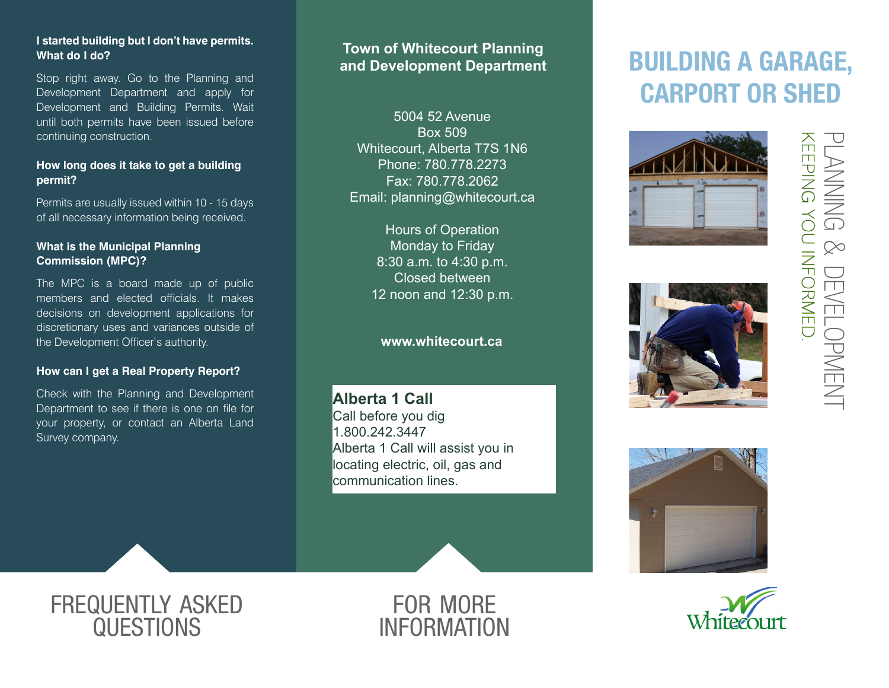## **I started building but I don't have permits. What do I do?**

Stop right away. Go to the Planning and Development Department and apply for Development and Building Permits. Wait until both permits have been issued before continuing construction.

## **How long does it take to get a building permit?**

Permits are usually issued within 10 - 15 days of all necessary information being received.

## **What is the Municipal Planning Commission (MPC)?**

The MPC is a board made up of public members and elected officials. It makes decisions on development applications for discretionary uses and variances outside of the Development Officer's authority.

### **How can I get a Real Property Report?**

Check with the Planning and Development Department to see if there is one on file for your property, or contact an Alberta Land Survey company.

## **Town of Whitecourt Planning and Development Department**

5004 52 Avenue Box 509 Whitecourt, Alberta T7S 1N6 Phone: 780.778.2273 Fax: 780.778.2062 Email: planning@whitecourt.ca

> Hours of Operation Monday to Friday 8:30 a.m. to 4:30 p.m. Closed between 12 noon and 12:30 p.m.

## **www.whitecourt.ca**

**Alberta 1 Call** Call before you dig 1.800.242.3447 Alberta 1 Call will assist you in locating electric, oil, gas and communication lines.

# BUILDING A GARAGE, CARPORT OR SHED









## frequently asked **QUESTIONS**